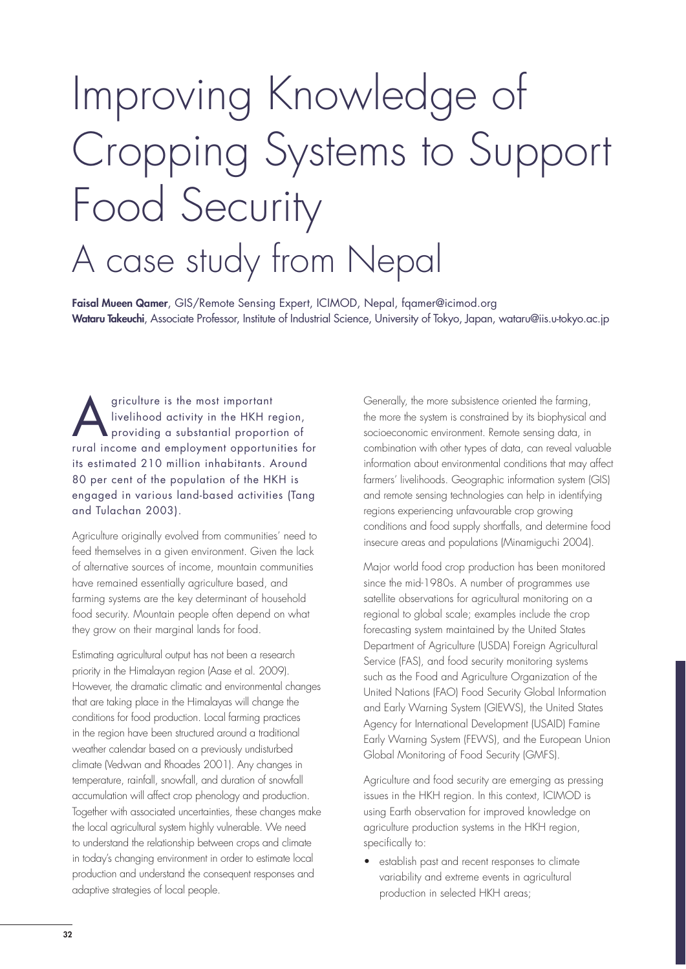# Improving Knowledge of Cropping Systems to Support Food Security A case study from Nepal

**Faisal Mueen Qamer**, GIS/Remote Sensing Expert, ICIMOD, Nepal, fqamer@icimod.org **Wataru Takeuchi**, Associate Professor, Institute of Industrial Science, University of Tokyo, Japan, wataru@iis.u-tokyo.ac.jp

griculture is the most important<br>livelihood activity in the HKH re<br>providing a substantial proportional increases livelihood activity in the HKH region, providing a substantial proportion of rural income and employment opportunities for its estimated 210 million inhabitants. Around 80 per cent of the population of the HKH is engaged in various land-based activities (Tang and Tulachan 2003).

Agriculture originally evolved from communities' need to feed themselves in a given environment. Given the lack of alternative sources of income, mountain communities have remained essentially agriculture based, and farming systems are the key determinant of household food security. Mountain people often depend on what they grow on their marginal lands for food.

Estimating agricultural output has not been a research priority in the Himalayan region (Aase et al. 2009). However, the dramatic climatic and environmental changes that are taking place in the Himalayas will change the conditions for food production. Local farming practices in the region have been structured around a traditional weather calendar based on a previously undisturbed climate (Vedwan and Rhoades 2001). Any changes in temperature, rainfall, snowfall, and duration of snowfall accumulation will affect crop phenology and production. Together with associated uncertainties, these changes make the local agricultural system highly vulnerable. We need to understand the relationship between crops and climate in today's changing environment in order to estimate local production and understand the consequent responses and adaptive strategies of local people.

Generally, the more subsistence oriented the farming, the more the system is constrained by its biophysical and socioeconomic environment. Remote sensing data, in combination with other types of data, can reveal valuable information about environmental conditions that may affect farmers' livelihoods. Geographic information system (GIS) and remote sensing technologies can help in identifying regions experiencing unfavourable crop growing conditions and food supply shortfalls, and determine food insecure areas and populations (Minamiguchi 2004).

Major world food crop production has been monitored since the mid-1980s. A number of programmes use satellite observations for agricultural monitoring on a regional to global scale; examples include the crop forecasting system maintained by the United States Department of Agriculture (USDA) Foreign Agricultural Service (FAS), and food security monitoring systems such as the Food and Agriculture Organization of the United Nations (FAO) Food Security Global Information and Early Warning System (GIEWS), the United States Agency for International Development (USAID) Famine Early Warning System (FEWS), and the European Union Global Monitoring of Food Security (GMFS).

Agriculture and food security are emerging as pressing issues in the HKH region. In this context, ICIMOD is using Earth observation for improved knowledge on agriculture production systems in the HKH region, specifically to:

• establish past and recent responses to climate variability and extreme events in agricultural production in selected HKH areas;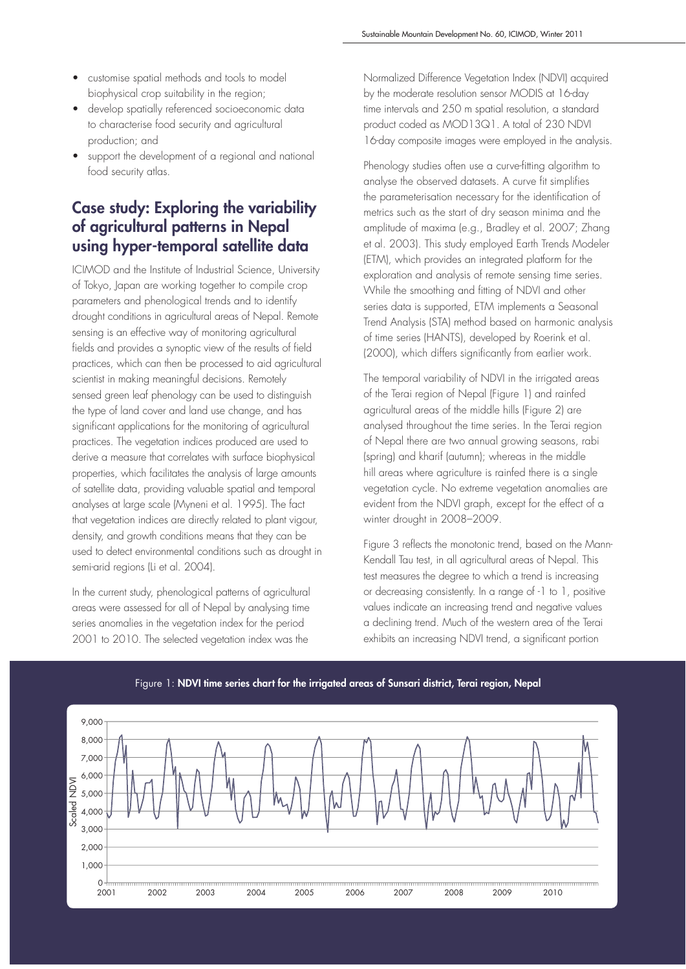- customise spatial methods and tools to model biophysical crop suitability in the region;
- develop spatially referenced socioeconomic data to characterise food security and agricultural production; and
- support the development of a regional and national food security atlas.

## **Case study: Exploring the variability of agricultural patterns in Nepal using hyper-temporal satellite data**

ICIMOD and the Institute of Industrial Science, University of Tokyo, Japan are working together to compile crop parameters and phenological trends and to identify drought conditions in agricultural areas of Nepal. Remote sensing is an effective way of monitoring agricultural fields and provides a synoptic view of the results of field practices, which can then be processed to aid agricultural scientist in making meaningful decisions. Remotely sensed green leaf phenology can be used to distinguish the type of land cover and land use change, and has significant applications for the monitoring of agricultural practices. The vegetation indices produced are used to derive a measure that correlates with surface biophysical properties, which facilitates the analysis of large amounts of satellite data, providing valuable spatial and temporal analyses at large scale (Myneni et al. 1995). The fact that vegetation indices are directly related to plant vigour, density, and growth conditions means that they can be used to detect environmental conditions such as drought in semi-arid regions (Li et al. 2004).

In the current study, phenological patterns of agricultural areas were assessed for all of Nepal by analysing time series anomalies in the vegetation index for the period 2001 to 2010. The selected vegetation index was the

Normalized Difference Vegetation Index (NDVI) acquired by the moderate resolution sensor MODIS at 16-day time intervals and 250 m spatial resolution, a standard product coded as MOD13Q1. A total of 230 NDVI 16-day composite images were employed in the analysis.

Phenology studies often use a curve-fitting algorithm to analyse the observed datasets. A curve fit simplifies the parameterisation necessary for the identification of metrics such as the start of dry season minima and the amplitude of maxima (e.g., Bradley et al. 2007; Zhang et al. 2003). This study employed Earth Trends Modeler (ETM), which provides an integrated platform for the exploration and analysis of remote sensing time series. While the smoothing and fitting of NDVI and other series data is supported, ETM implements a Seasonal Trend Analysis (STA) method based on harmonic analysis of time series (HANTS), developed by Roerink et al. (2000), which differs significantly from earlier work.

The temporal variability of NDVI in the irrigated areas of the Terai region of Nepal (Figure 1) and rainfed agricultural areas of the middle hills (Figure 2) are analysed throughout the time series. In the Terai region of Nepal there are two annual growing seasons, rabi (spring) and kharif (autumn); whereas in the middle hill areas where agriculture is rainfed there is a single vegetation cycle. No extreme vegetation anomalies are evident from the NDVI graph, except for the effect of a winter drought in 2008–2009.

Figure 3 reflects the monotonic trend, based on the Mann-Kendall Tau test, in all agricultural areas of Nepal. This test measures the degree to which a trend is increasing or decreasing consistently. In a range of -1 to 1, positive values indicate an increasing trend and negative values a declining trend. Much of the western area of the Terai exhibits an increasing NDVI trend, a significant portion



#### Figure 1: **NDVI time series chart for the irrigated areas of Sunsari district, Terai region, Nepal**